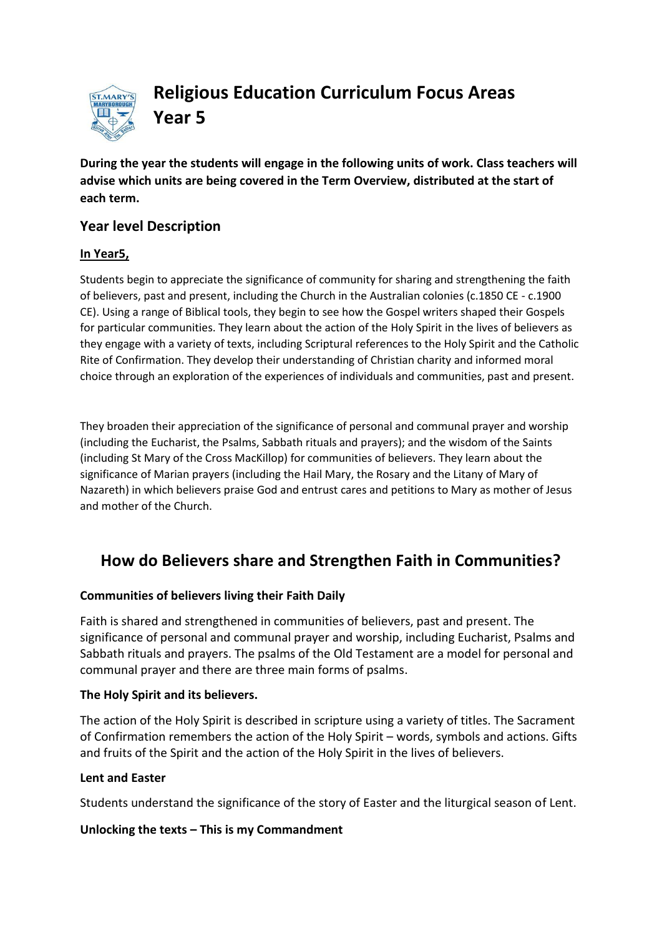

**Religious Education Curriculum Focus Areas Year 5**

**During the year the students will engage in the following units of work. Class teachers will advise which units are being covered in the Term Overview, distributed at the start of each term.**

# **Year level Description**

## **In Year5,**

Students begin to appreciate the significance of community for sharing and strengthening the faith of believers, past and present, including the Church in the Australian colonies (c.1850 CE - c.1900 CE). Using a range o[f Biblical](http://www.rec.bne.catholic.edu.au/Pages/Religious-Education.aspx) tools, they begin to see how the Gospel writers shaped their Gospels for particular communities. They learn about the action of the Holy Spirit in the lives of believers as they engage with a variety of texts, including Scriptural references to the Holy Spirit and the Catholic Rite of Confirmation. They develop their understanding of Christian charity and informed moral choice through an exploration of the experiences of individuals and communities, past and present.

They broaden their appreciation of the significance of personal and communal prayer and worship (including the [Eucharist,](http://www.rec.bne.catholic.edu.au/Pages/Religious-Education.aspx) th[e Psalms,](http://www.rec.bne.catholic.edu.au/Pages/Religious-Education.aspx) Sabbath rituals and prayers); and th[e wisdom](http://www.rec.bne.catholic.edu.au/Pages/Religious-Education.aspx) of the Saints (including St Mary of the Cross MacKillop) for communities of believers. They learn about the significance of Marian prayers (including the Hail Mary, the Rosary and the Litany of Mary of Nazareth) in which believers praise God and entrust cares and petitions to Mary as mother of Jesus and mother of the Church.

# **How do Believers share and Strengthen Faith in Communities?**

## **Communities of believers living their Faith Daily**

Faith is shared and strengthened in communities of believers, past and present. The significance of personal and communal prayer and worship, including Eucharist, Psalms and Sabbath rituals and prayers. The psalms of the Old Testament are a model for personal and communal prayer and there are three main forms of psalms.

#### **The Holy Spirit and its believers.**

The action of the Holy Spirit is described in scripture using a variety of titles. The Sacrament of Confirmation remembers the action of the Holy Spirit – words, symbols and actions. Gifts and fruits of the Spirit and the action of the Holy Spirit in the lives of believers.

#### **Lent and Easter**

Students understand the significance of the story of Easter and the liturgical season of Lent.

#### **Unlocking the texts – This is my Commandment**